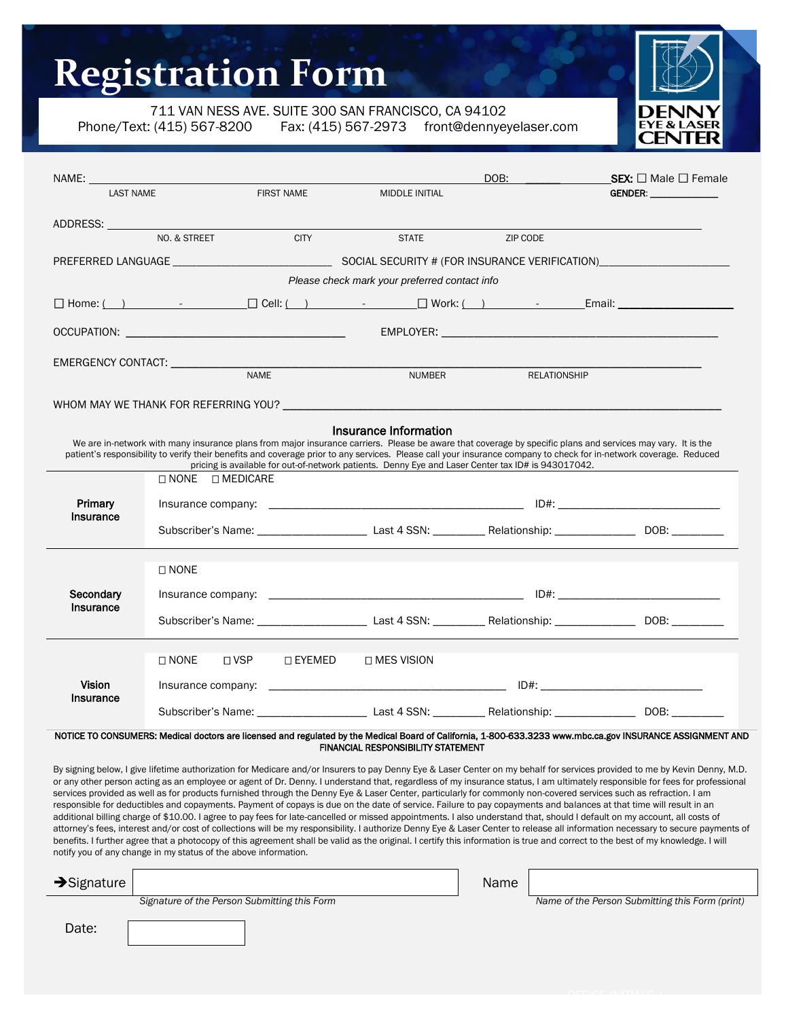## **Registration Form**

711 VAN NESS AVE. SUITE 300 SAN FRANCISCO, CA 94102

l

Phone/Text: (415) 567-8200 Fax: (415) 567-2973 front@dennyeyelaser.com



| NAME: And the set of the set of the set of the set of the set of the set of the set of the set of the set of the set of the set of the set of the set of the set of the set of the set of the set of the set of the set of the |                |                          |                       | DOB:                                                                                                                                                                                                                           | <b>SEX:</b> $\Box$ Male $\Box$ Female                                                                                     |  |  |
|--------------------------------------------------------------------------------------------------------------------------------------------------------------------------------------------------------------------------------|----------------|--------------------------|-----------------------|--------------------------------------------------------------------------------------------------------------------------------------------------------------------------------------------------------------------------------|---------------------------------------------------------------------------------------------------------------------------|--|--|
| <b>LAST NAME</b>                                                                                                                                                                                                               |                | <b>FIRST NAME</b>        | <b>MIDDLE INITIAL</b> |                                                                                                                                                                                                                                |                                                                                                                           |  |  |
|                                                                                                                                                                                                                                |                |                          |                       |                                                                                                                                                                                                                                |                                                                                                                           |  |  |
| ADDRESS: ADDRESS:                                                                                                                                                                                                              |                |                          |                       |                                                                                                                                                                                                                                |                                                                                                                           |  |  |
|                                                                                                                                                                                                                                | NO. & STREET   | <b>CITY</b>              | <b>STATE</b>          | ZIP CODE                                                                                                                                                                                                                       |                                                                                                                           |  |  |
|                                                                                                                                                                                                                                |                |                          |                       |                                                                                                                                                                                                                                |                                                                                                                           |  |  |
| Please check mark your preferred contact info                                                                                                                                                                                  |                |                          |                       |                                                                                                                                                                                                                                |                                                                                                                           |  |  |
|                                                                                                                                                                                                                                |                |                          |                       |                                                                                                                                                                                                                                |                                                                                                                           |  |  |
|                                                                                                                                                                                                                                |                |                          |                       |                                                                                                                                                                                                                                |                                                                                                                           |  |  |
|                                                                                                                                                                                                                                | <b>NAME</b>    |                          |                       |                                                                                                                                                                                                                                |                                                                                                                           |  |  |
|                                                                                                                                                                                                                                |                |                          | <b>NUMBER</b>         | <b>RELATIONSHIP</b>                                                                                                                                                                                                            |                                                                                                                           |  |  |
|                                                                                                                                                                                                                                |                |                          |                       | WHOM MAY WE THANK FOR REFERRING YOU? THE RESERVE THANK OF A SERIES OF A STATE OF A STATE OF A STATE OF A STATE OF A STATE OF A STATE OF A STATE OF A STATE OF A STATE OF A STATE OF A STATE OF A STATE OF A STATE OF A STATE O |                                                                                                                           |  |  |
|                                                                                                                                                                                                                                |                |                          | Insurance Information |                                                                                                                                                                                                                                |                                                                                                                           |  |  |
|                                                                                                                                                                                                                                |                |                          |                       | We are in-network with many insurance plans from major insurance carriers. Please be aware that coverage by specific plans and services may vary. It is the                                                                    |                                                                                                                           |  |  |
| patient's responsibility to verify their benefits and coverage prior to any services. Please call your insurance company to check for in-network coverage. Reduced                                                             |                |                          |                       |                                                                                                                                                                                                                                |                                                                                                                           |  |  |
| pricing is available for out-of-network patients. Denny Eye and Laser Center tax ID# is 943017042.<br>$\Box$ NONE $\Box$ MEDICARE                                                                                              |                |                          |                       |                                                                                                                                                                                                                                |                                                                                                                           |  |  |
|                                                                                                                                                                                                                                |                |                          |                       |                                                                                                                                                                                                                                |                                                                                                                           |  |  |
| Primary<br>Insurance                                                                                                                                                                                                           |                |                          |                       |                                                                                                                                                                                                                                |                                                                                                                           |  |  |
|                                                                                                                                                                                                                                |                |                          |                       |                                                                                                                                                                                                                                | Subscriber's Name: __________________________Last 4 SSN: ___________Relationship: ____________________DOB: __________     |  |  |
|                                                                                                                                                                                                                                |                |                          |                       |                                                                                                                                                                                                                                |                                                                                                                           |  |  |
|                                                                                                                                                                                                                                | $\square$ NONE |                          |                       |                                                                                                                                                                                                                                |                                                                                                                           |  |  |
| Secondary                                                                                                                                                                                                                      |                |                          |                       |                                                                                                                                                                                                                                |                                                                                                                           |  |  |
| Insurance                                                                                                                                                                                                                      |                |                          |                       |                                                                                                                                                                                                                                |                                                                                                                           |  |  |
|                                                                                                                                                                                                                                |                |                          |                       |                                                                                                                                                                                                                                | Subscriber's Name: _ _ _ _ _ _ _ _ _ _ _ _ _ Last 4 SSN: _ _ _ _ _ _ _ Relationship: _ _ _ _ _ _ _ _ _ DOB: _ _ _ _ _ _ _ |  |  |
|                                                                                                                                                                                                                                |                |                          |                       |                                                                                                                                                                                                                                |                                                                                                                           |  |  |
|                                                                                                                                                                                                                                | $\square$ NONE | $\Box$ VSP $\Box$ EYEMED | □ MES VISION          |                                                                                                                                                                                                                                |                                                                                                                           |  |  |
| <b>Vision</b>                                                                                                                                                                                                                  |                |                          |                       |                                                                                                                                                                                                                                |                                                                                                                           |  |  |
| Insurance                                                                                                                                                                                                                      |                |                          |                       | Subscriber's Name: _ _ _ _ _ _ _ _ _ _ _ _ _ Last 4 SSN: _ _ _ _ _ _ _ Relationship: _ _ _ _ _ _ _ _ _ DOB: _ _ _ _ _ _ _ _                                                                                                    |                                                                                                                           |  |  |
|                                                                                                                                                                                                                                |                |                          |                       |                                                                                                                                                                                                                                |                                                                                                                           |  |  |

#### NOTICE TO CONSUMERS: Medical doctors are licensed and regulated by the Medical Board of California, 1-800-633.3233 www.mbc.ca.gov INSURANCE ASSIGNMENT AND FINANCIAL RESPONSIBILITY STATEMENT

By signing below, I give lifetime authorization for Medicare and/or Insurers to pay Denny Eye & Laser Center on my behalf for services provided to me by Kevin Denny, M.D. or any other person acting as an employee or agent of Dr. Denny. I understand that, regardless of my insurance status, I am ultimately responsible for fees for professional services provided as well as for products furnished through the Denny Eye & Laser Center, particularly for commonly non-covered services such as refraction. I am responsible for deductibles and copayments. Payment of copays is due on the date of service. Failure to pay copayments and balances at that time will result in an additional billing charge of \$10.00. I agree to pay fees for late-cancelled or missed appointments. I also understand that, should I default on my account, all costs of attorney's fees, interest and/or cost of collections will be my responsibility. I authorize Denny Eye & Laser Center to release all information necessary to secure payments of benefits. I further agree that a photocopy of this agreement shall be valid as the original. I certify this information is true and correct to the best of my knowledge. I will notify you of any change in my status of the above information.

| $\rightarrow$ Signature |                                              | Name |                                                 |
|-------------------------|----------------------------------------------|------|-------------------------------------------------|
|                         | Signature of the Person Submitting this Form |      | Name of the Person Submitting this Form (print) |
|                         |                                              |      |                                                 |
| Date:                   |                                              |      |                                                 |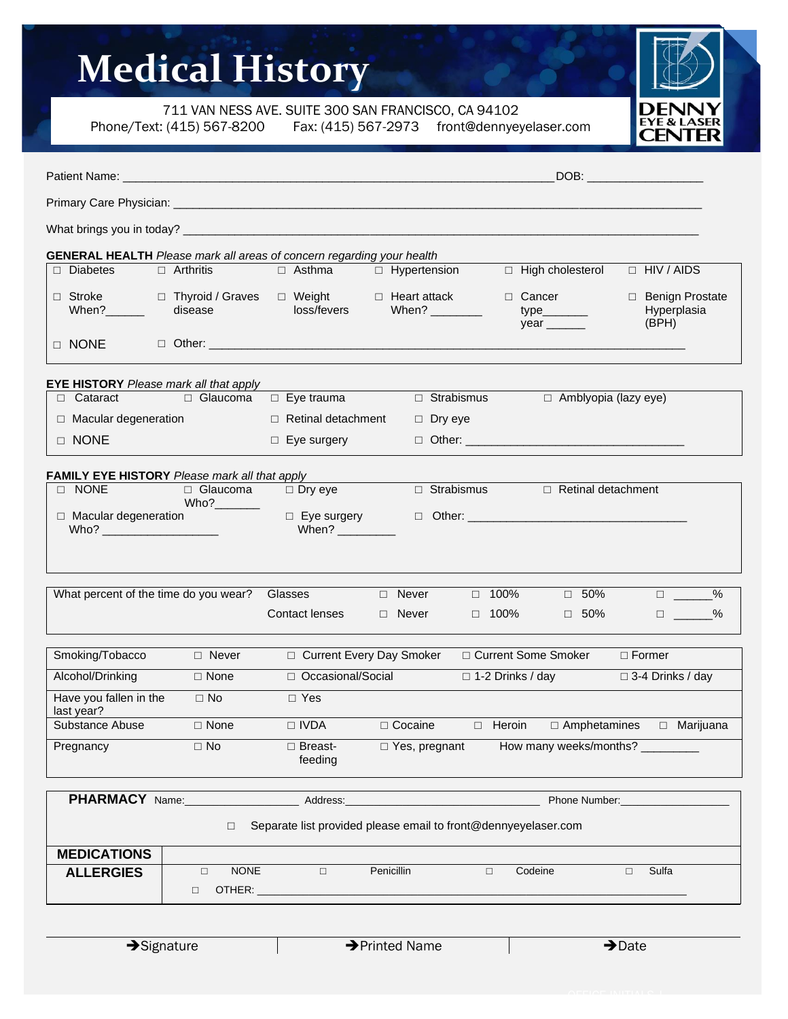# **Medical History**

711 VAN NESS AVE. SUITE 300 SAN FRANCISCO, CA 94102

Phone/Text: (415) 567-8200 Fax: (415) 567-2973 front@dennyeyelaser.com



|                                                                              |                  |                                                                                        | DOB: the contract of the contract of the contract of the contract of the contract of the contract of the contract of the contract of the contract of the contract of the contract of the contract of the contract of the contr |
|------------------------------------------------------------------------------|------------------|----------------------------------------------------------------------------------------|--------------------------------------------------------------------------------------------------------------------------------------------------------------------------------------------------------------------------------|
|                                                                              |                  |                                                                                        |                                                                                                                                                                                                                                |
|                                                                              |                  |                                                                                        |                                                                                                                                                                                                                                |
| <b>GENERAL HEALTH</b> Please mark all areas of concern regarding your health |                  |                                                                                        |                                                                                                                                                                                                                                |
| $\Box$ Diabetes                                                              | $\Box$ Arthritis | $\Box$ Asthma                                                                          | $\Box$ Hypertension<br>□ High cholesterol<br>$\Box$ HIV / AIDS                                                                                                                                                                 |
| □ Stroke □ Thyroid /<br>When?_______ disease                                 |                  | □ Thyroid / Graves □ Weight □ Heart attack<br>disease       loss/fevers    When? _____ | □ Cancer<br>□ Benign Prostate<br>When? $\frac{1}{\sqrt{1-\frac{1}{2}}}\left\vert \frac{1}{\sqrt{1-\frac{1}{2}}}\right\vert$<br>Hyperplasia<br>$year$ <sub>_________</sub><br>(BPH)                                             |
| D NONE                                                                       |                  |                                                                                        |                                                                                                                                                                                                                                |
| <b>EYE HISTORY</b> Please mark all that apply                                |                  |                                                                                        |                                                                                                                                                                                                                                |
| $\Box$ Cataract                                                              | ■ Glaucoma       | $\Box$ Eye trauma                                                                      | $\Box$ Strabismus<br>$\Box$ Amblyopia (lazy eye)                                                                                                                                                                               |
| $\Box$ Macular degeneration                                                  |                  | $\Box$ Retinal detachment                                                              | $\Box$ Dry eye                                                                                                                                                                                                                 |
| □ NONE                                                                       |                  | $\Box$ Eye surgery                                                                     |                                                                                                                                                                                                                                |
| <b>FAMILY EYE HISTORY</b> Please mark all that apply                         |                  |                                                                                        |                                                                                                                                                                                                                                |
| $\Box$ NONE                                                                  | $\Box$ Glaucoma  | $\Box$ Dry eye                                                                         | $\Box$ Strabismus $\Box$ Retinal detachment                                                                                                                                                                                    |
| $\Box$ Macular degeneration<br>$Who?$ _______________________                |                  | $\Box$ Eye surgery<br>When? _________                                                  |                                                                                                                                                                                                                                |
| What percent of the time do you wear?                                        |                  | Glasses                                                                                | $\Box$ 50%<br>$\Box$ __________%<br>$\Box$ Never<br>$\Box$ 100%                                                                                                                                                                |
|                                                                              |                  | Contact lenses                                                                         | $\Box$ Never<br>□ 100%<br>$\Box$ 50%<br>$\Box$ _____________%                                                                                                                                                                  |
| Smoking/Tobacco                                                              | $\Box$ Never     |                                                                                        | □ Current Some Smoker<br>□ Current Every Day Smoker<br>$\Box$ Former                                                                                                                                                           |
| Alcohol/Drinking                                                             | $\Box$ None      | □ Occasional/Social                                                                    | $\Box$ 1-2 Drinks / day<br>$\Box$ 3-4 Drinks / day                                                                                                                                                                             |
| Have you fallen in the<br>last year?                                         | $\Box$ No        | $\Box$ Yes                                                                             |                                                                                                                                                                                                                                |
| Substance Abuse                                                              | $\Box$ None      | $\Box$ IVDA                                                                            | $\Box$ Cocaine<br>$\Box$ Heroin<br>$\Box$ Amphetamines<br>$\Box$ Marijuana                                                                                                                                                     |
| Pregnancy                                                                    | $\Box$ No        | □ Breast-<br>feeding                                                                   | How many weeks/months?<br>□ Yes, pregnant                                                                                                                                                                                      |
| PHARMACY Name:                                                               |                  | Address:                                                                               | Phone Number:                                                                                                                                                                                                                  |
|                                                                              | $\Box$           |                                                                                        | Separate list provided please email to front@dennyeyelaser.com                                                                                                                                                                 |

| <b>MEDICATIONS</b> |   |             |   |            |         |       |  |
|--------------------|---|-------------|---|------------|---------|-------|--|
| <b>ALLERGIES</b>   | 一 | <b>NONE</b> | _ | Penicillin | Codeine | Sulfa |  |
|                    |   | OTHER:      |   |            |         |       |  |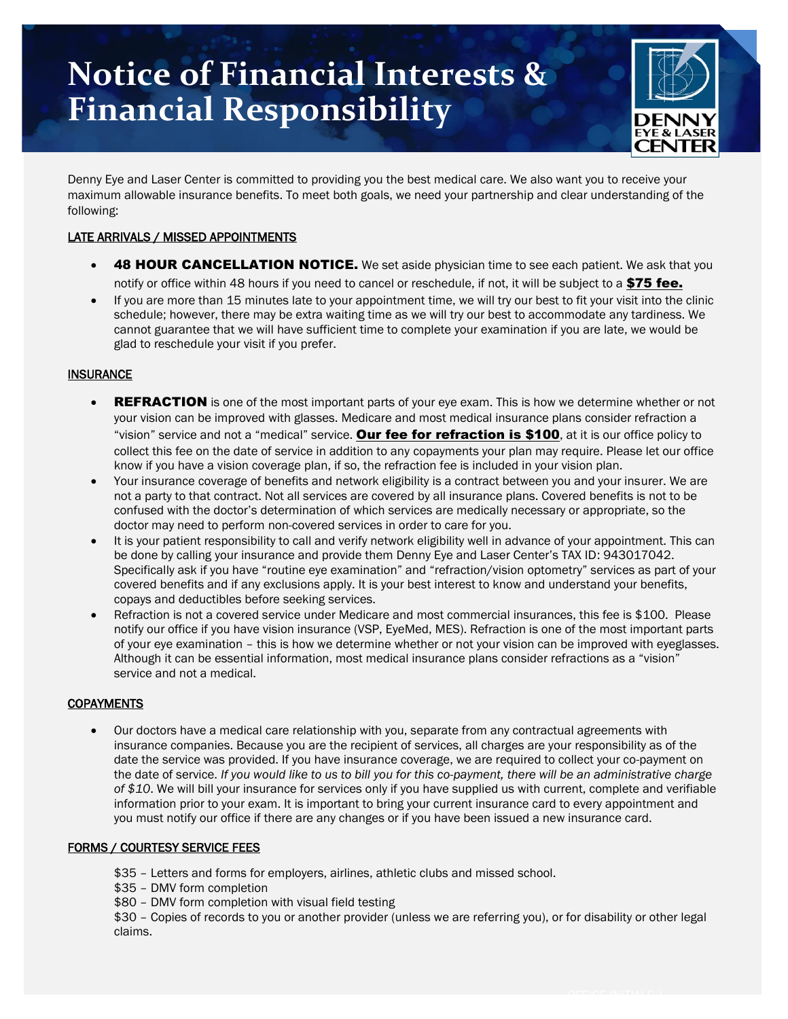### **Notice of Financial Interests & Financial Responsibility**



Denny Eye and Laser Center is committed to providing you the best medical care. We also want you to receive your maximum allowable insurance benefits. To meet both goals, we need your partnership and clear understanding of the following:

### LATE ARRIVALS / MISSED APPOINTMENTS

- **48 HOUR CANCELLATION NOTICE.** We set aside physician time to see each patient. We ask that you notify or office within 48 hours if you need to cancel or reschedule, if not, it will be subject to a \$75 fee.
- If you are more than 15 minutes late to your appointment time, we will try our best to fit your visit into the clinic schedule; however, there may be extra waiting time as we will try our best to accommodate any tardiness. We cannot guarantee that we will have sufficient time to complete your examination if you are late, we would be glad to reschedule your visit if you prefer.

### **INSURANCE**

- **REFRACTION** is one of the most important parts of your eye exam. This is how we determine whether or not your vision can be improved with glasses. Medicare and most medical insurance plans consider refraction a "vision" service and not a "medical" service. Our fee for refraction is \$100, at it is our office policy to collect this fee on the date of service in addition to any copayments your plan may require. Please let our office know if you have a vision coverage plan, if so, the refraction fee is included in your vision plan.
- Your insurance coverage of benefits and network eligibility is a contract between you and your insurer. We are not a party to that contract. Not all services are covered by all insurance plans. Covered benefits is not to be confused with the doctor's determination of which services are medically necessary or appropriate, so the doctor may need to perform non-covered services in order to care for you.
- It is your patient responsibility to call and verify network eligibility well in advance of your appointment. This can be done by calling your insurance and provide them Denny Eye and Laser Center's TAX ID: 943017042. Specifically ask if you have "routine eye examination" and "refraction/vision optometry" services as part of your covered benefits and if any exclusions apply. It is your best interest to know and understand your benefits, copays and deductibles before seeking services.
- Refraction is not a covered service under Medicare and most commercial insurances, this fee is \$100. Please notify our office if you have vision insurance (VSP, EyeMed, MES). Refraction is one of the most important parts of your eye examination – this is how we determine whether or not your vision can be improved with eyeglasses. Although it can be essential information, most medical insurance plans consider refractions as a "vision" service and not a medical.

#### **COPAYMENTS**

• Our doctors have a medical care relationship with you, separate from any contractual agreements with insurance companies. Because you are the recipient of services, all charges are your responsibility as of the date the service was provided. If you have insurance coverage, we are required to collect your co-payment on the date of service. *If you would like to us to bill you for this co-payment, there will be an administrative charge of \$10*. We will bill your insurance for services only if you have supplied us with current, complete and verifiable information prior to your exam. It is important to bring your current insurance card to every appointment and you must notify our office if there are any changes or if you have been issued a new insurance card.

#### FORMS / COURTESY SERVICE FEES

- \$35 Letters and forms for employers, airlines, athletic clubs and missed school.
- \$35 DMV form completion
- \$80 DMV form completion with visual field testing

\$30 – Copies of records to you or another provider (unless we are referring you), or for disability or other legal claims.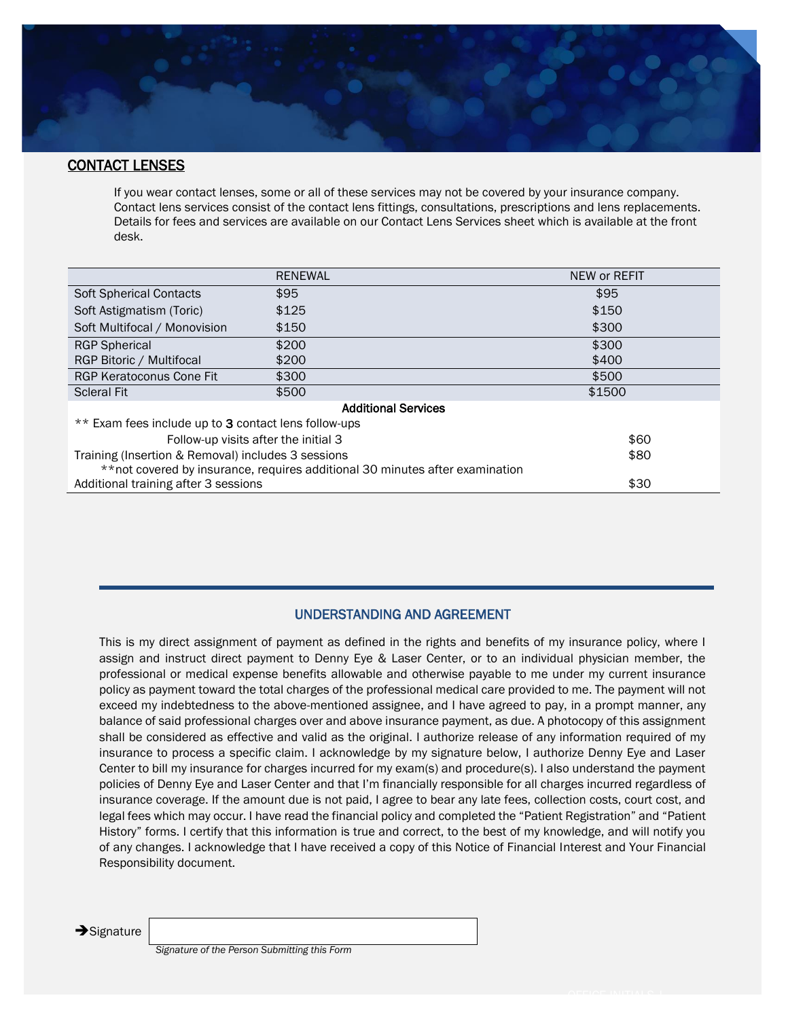

#### CONTACT LENSES

If you wear contact lenses, some or all of these services may not be covered by your insurance company. Contact lens services consist of the contact lens fittings, consultations, prescriptions and lens replacements. Details for fees and services are available on our Contact Lens Services sheet which is available at the front desk.

|                                                                               | <b>RENEWAL</b> | NEW or REFIT |  |  |  |
|-------------------------------------------------------------------------------|----------------|--------------|--|--|--|
| <b>Soft Spherical Contacts</b>                                                | \$95           | \$95         |  |  |  |
| Soft Astigmatism (Toric)                                                      | \$125          | \$150        |  |  |  |
| Soft Multifocal / Monovision                                                  | \$150          | \$300        |  |  |  |
| <b>RGP Spherical</b>                                                          | \$200          | \$300        |  |  |  |
| RGP Bitoric / Multifocal                                                      | \$200          | \$400        |  |  |  |
| <b>RGP Keratoconus Cone Fit</b>                                               | \$300          | \$500        |  |  |  |
| <b>Scleral Fit</b>                                                            | \$500          | \$1500       |  |  |  |
| <b>Additional Services</b>                                                    |                |              |  |  |  |
| ** Exam fees include up to 3 contact lens follow-ups                          |                |              |  |  |  |
| Follow-up visits after the initial 3                                          | \$60           |              |  |  |  |
| Training (Insertion & Removal) includes 3 sessions                            | \$80           |              |  |  |  |
| ** not covered by insurance, requires additional 30 minutes after examination |                |              |  |  |  |
| Additional training after 3 sessions                                          | \$30           |              |  |  |  |

#### UNDERSTANDING AND AGREEMENT

This is my direct assignment of payment as defined in the rights and benefits of my insurance policy, where I assign and instruct direct payment to Denny Eye & Laser Center, or to an individual physician member, the professional or medical expense benefits allowable and otherwise payable to me under my current insurance policy as payment toward the total charges of the professional medical care provided to me. The payment will not exceed my indebtedness to the above-mentioned assignee, and I have agreed to pay, in a prompt manner, any balance of said professional charges over and above insurance payment, as due. A photocopy of this assignment shall be considered as effective and valid as the original. I authorize release of any information required of my insurance to process a specific claim. I acknowledge by my signature below, I authorize Denny Eye and Laser Center to bill my insurance for charges incurred for my exam(s) and procedure(s). I also understand the payment policies of Denny Eye and Laser Center and that I'm financially responsible for all charges incurred regardless of insurance coverage. If the amount due is not paid, I agree to bear any late fees, collection costs, court cost, and legal fees which may occur. I have read the financial policy and completed the "Patient Registration" and "Patient History" forms. I certify that this information is true and correct, to the best of my knowledge, and will notify you of any changes. I acknowledge that I have received a copy of this Notice of Financial Interest and Your Financial Responsibility document.

**→**Signature

*Signature of the Person Submitting this Form*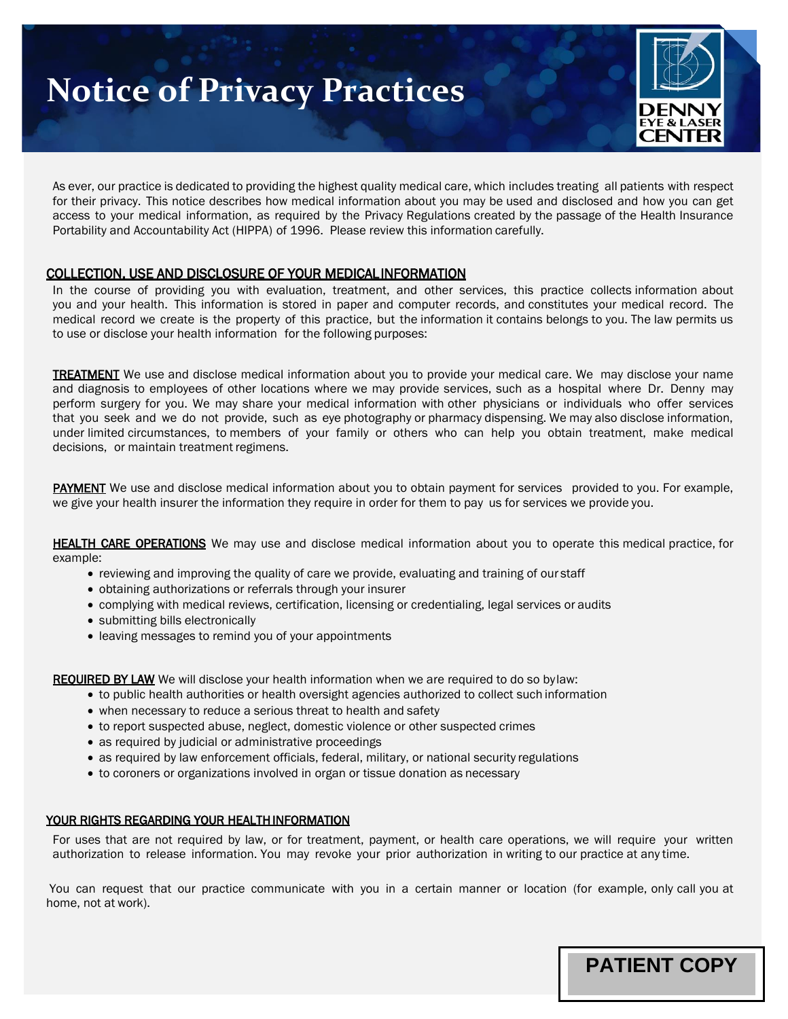# **Notice of Privacy Practices**



 $\mathcal{L} = \mathcal{L} \times \mathcal{L} = \mathcal{L} \times \mathcal{L} = \mathcal{L} \times \mathcal{L}$ 

**PATIENT COPY**

As ever, our practice is dedicated to providing the highest quality medical care, which includes treating all patients with respect for their privacy. This notice describes how medical information about you may be used and disclosed and how you can get access to your medical information, as required by the Privacy Regulations created by the passage of the Health Insurance Portability and Accountability Act (HIPPA) of 1996. Please review this information carefully.

#### COLLECTION, USE AND DISCLOSURE OF YOUR MEDICAL INFORMATION

In the course of providing you with evaluation, treatment, and other services, this practice collects information about you and your health. This information is stored in paper and computer records, and constitutes your medical record. The medical record we create is the property of this practice, but the information it contains belongs to you. The law permits us to use or disclose your health information for the following purposes:

**TREATMENT** We use and disclose medical information about you to provide your medical care. We may disclose your name and diagnosis to employees of other locations where we may provide services, such as a hospital where Dr. Denny may perform surgery for you. We may share your medical information with other physicians or individuals who offer services that you seek and we do not provide, such as eye photography or pharmacy dispensing. We may also disclose information, under limited circumstances, to members of your family or others who can help you obtain treatment, make medical decisions, or maintain treatment regimens.

PAYMENT We use and disclose medical information about you to obtain payment for services provided to you. For example, we give your health insurer the information they require in order for them to pay us for services we provide you.

HEALTH CARE OPERATIONS We may use and disclose medical information about you to operate this medical practice, for example:

- reviewing and improving the quality of care we provide, evaluating and training of our staff
- obtaining authorizations or referrals through your insurer
- complying with medical reviews, certification, licensing or credentialing, legal services or audits
- submitting bills electronically
- leaving messages to remind you of your appointments

REQUIRED BY LAWWe will disclose your health information when we are required to do so bylaw:

- to public health authorities or health oversight agencies authorized to collect such information
- when necessary to reduce a serious threat to health and safety
- to report suspected abuse, neglect, domestic violence or other suspected crimes
- as required by judicial or administrative proceedings
- as required by law enforcement officials, federal, military, or national security regulations
- to coroners or organizations involved in organ or tissue donation as necessary

#### YOUR RIGHTS REGARDING YOUR HEALTH INFORMATION

For uses that are not required by law, or for treatment, payment, or health care operations, we will require your written authorization to release information. You may revoke your prior authorization in writing to our practice at any time.

You can request that our practice communicate with you in a certain manner or location (for example, only call you at home, not at work).